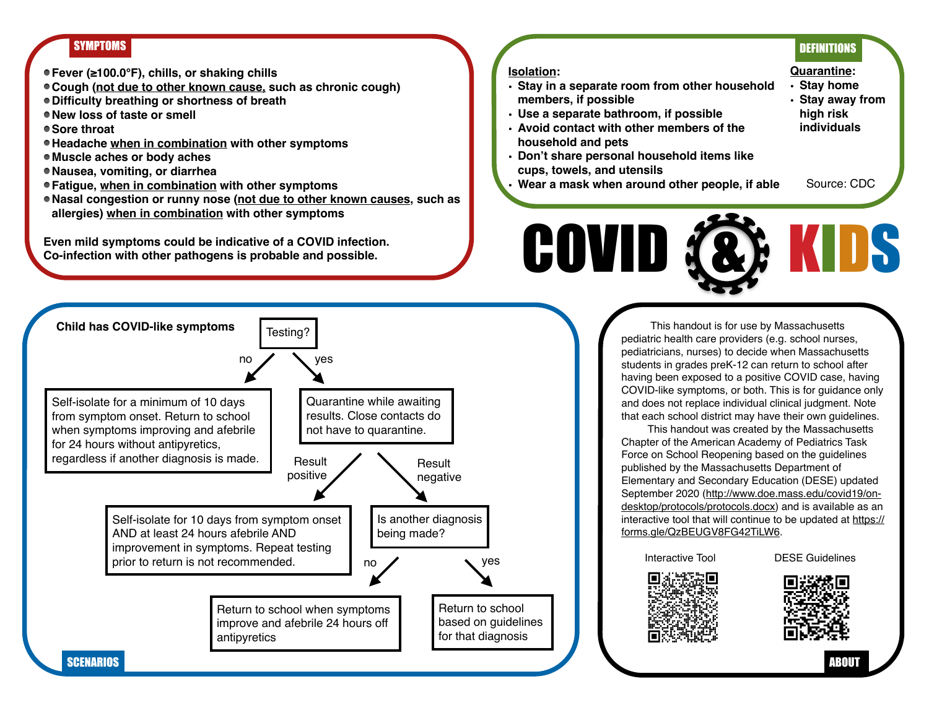## SYMPTOMS DEFINITIONS DEFINITIONS

- **Fever (≥100.0°F), chills, or shaking chills**
- **Cough (not due to other known cause, such as chronic cough)**
- **Difficulty breathing or shortness of breath**
- **New loss of taste or smell**
- **Sore throat**
- **Headache when in combination with other symptoms**
- **Muscle aches or body aches**
- **Nausea, vomiting, or diarrhea**
- **Fatigue, when in combination with other symptoms**
- **Nasal congestion or runny nose (not due to other known causes, such as allergies) when in combination with other symptoms**

**Even mild symptoms could be indicative of a COVID infection. Co-infection with other pathogens is probable and possible.**

## **Isolation:**

- **• Stay in a separate room from other household members, if possible**
- **• Use a separate bathroom, if possible**
- **• Avoid contact with other members of the household and pets**
- **• Don't share personal household items like cups, towels, and utensils**
- **• Wear a mask when around other people, if able**



- **• Stay home • Stay away from high risk**
- **individuals**
- Source: CDC

COVID (&) KIDS

 This handout is for use by Massachusetts pediatric health care providers (e.g. school nurses, pediatricians, nurses) to decide when Massachusetts students in grades preK-12 can return to school after having been exposed to a positive COVID case, having COVID-like symptoms, or both. This is for guidance only and does not replace individual clinical judgment. Note that each school district may have their own guidelines.

 This handout was created by the Massachusetts Chapter of the American Academy of Pediatrics Task Force on School Reopening based on the guidelines published by the Massachusetts Department of Elementary and Secondary Education (DESE) updated [September 2020 \(http://www.doe.mass.edu/covid19/on](http://www.doe.mass.edu/covid19/on-desktop/protocols/protocols.docx)desktop/protocols/protocols.docx) and is available as an [interactive tool that will continue to be updated at https://](https://forms.gle/QzBEUGV8FG42TiLW6) forms.gle/QzBEUGV8FG42TiLW6.

Interactive Tool DESE Guidelines



ABOUT